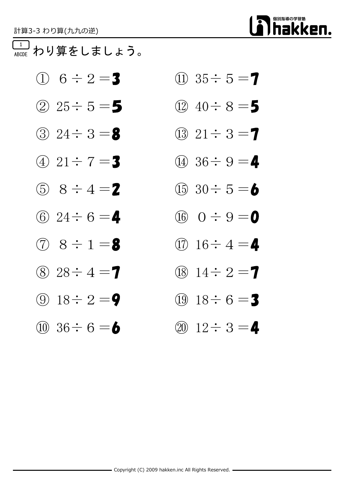# 個別指導の学習塾 hakken.

### 1 ABCDE わり算をしましょう。

- $\textcircled{1}$  6  $\div$  2 = 3  $\textcircled{1}$  35  $\div$  5 = 7
- ② 25÷5=5 ① 40÷8=5
- 
- 
- (5)  $8 \div 4 = 2$  (15)  $30 \div 5 = 6$
- (6)  $24 \div 6 =$  4 (16)  $0 \div 9 = 0$
- 
- (8)  $28 \div 4 = 7$  (18)  $14 \div 2 = 7$
- 
- 
- 
- 
- $\textcircled{3}$  24  $\div$  3 = 8  $\textcircled{1}$   $\textcircled{3}$  21  $\div$  3 = 7
- (4)  $21 \div 7 = 3$  (1)  $36 \div 9 = 4$ 
	-
	-
- (7)  $8 \div 1 =$  8 (17)  $16 \div 4 =$  4
	-
- **(9)**  $18 \div 2 = 9$  **(19)**  $18 \div 6 = 3$
- (10)  $36 \div 6 = 6$  (20)  $12 \div 3 = 4$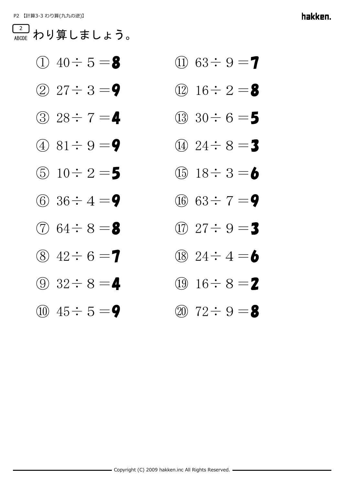## 2 わり算しましょう。

- (1)  $40 \div 5 = 8$  (1)  $63 \div 9 = 7$
- 
- ③ 28÷7=4 (13) 30÷6=5
- (4)  $81 \div 9 = 9$  (14)  $24 \div 8 = 3$
- 
- (6)  $36 \div 4 = 9$  (16)  $63 \div 7 = 9$
- 
- 
- 
- 
- 
- $(2)$  27  $\div$  3 = 9  $(12)$  16  $\div$  2 = 8
	-
	-
- (5)  $10 \div 2 = 5$  (15)  $18 \div 3 = 6$ 
	-
- (7)  $64 \div 8 = 8$  (17)  $27 \div 9 = 3$
- (8)  $42 \div 6 = 7$  (18)  $24 \div 4 = 6$
- (9)  $32 \div 8 = 4$  (19)  $16 \div 8 = 2$
- $\overline{100}$  45  $\div$  5 = 9  $\overline{9}$   $\overline{22 \div 9} = 8$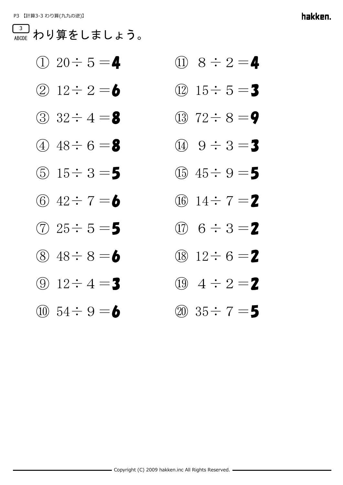#### 3 わり算をしましょう。

|  |  | ① 20÷ 5 = 4                            |
|--|--|----------------------------------------|
|  |  | $\odot$ 10 $\cdot$ 0 $ \blacktriangle$ |

- ③ 32÷4=8 (13) 72÷8=9
- $(4)$  48  $\div$  6 = 8  $(4)$  9  $\div$  3 = 3
- 
- 6  $42 \div 7 = 6$  06  $14 \div 7 = 2$
- (7)  $25 \div 5 = 5$  (17)  $6 \div 3 = 2$
- 
- 
- 
- ① 20÷5=4 ⑪ 8÷2=4
- ② 12÷ 2 = 6 ① 15÷ 5 = 3
	-
	-
- (5)  $15 \div 3 = 5$  (15)  $45 \div 9 = 5$ 
	-
	-
- (8)  $48 \div 8 =$  6 (18)  $12 \div 6 = 2$
- (9)  $12 \div 4 = 3$  (19)  $4 \div 2 = 2$
- $\omega$  54  $\div$  9 = 6  $\omega$  35  $\div$  7 = 5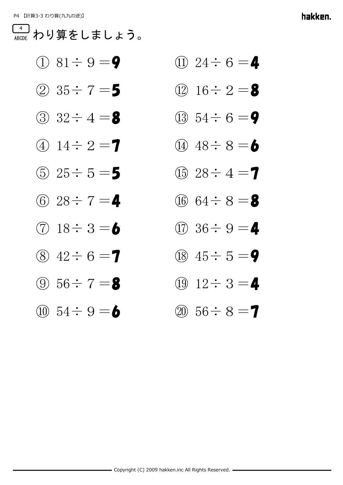#### 4 わり算をしましょう。

- (1)  $81 \div 9 = 9$  (1)  $24 \div 6 = 4$
- 
- (3)  $32 \div 4 =$  8 (13)  $54 \div 6 =$  9
- (4)  $14 \div 2 = 7$  (14)  $48 \div 8 = 6$
- (5)  $25 \div 5 = 5$  (f)  $28 \div 4 = 7$
- (6)  $28 \div 7 =$  4 (16)  $64 \div 8 =$  8
- 
- 
- 
- 
- 
- $(2)$  35  $\div$  7 = 5  $(12)$  16  $\div$  2 = 8
	-
	-
	-
	-
- $\circled{7}$  18  $\div$  3 = 6  $\circled{1}$  36  $\div$  9 = 4
- (8)  $42 \div 6 = 7$  (18)  $45 \div 5 = 9$
- ① 56÷ 7 = 8 ① 12÷ 3 = 4
- $\omega$  54  $\div$  9 = 6  $\omega$  56  $\div$  8 = 7